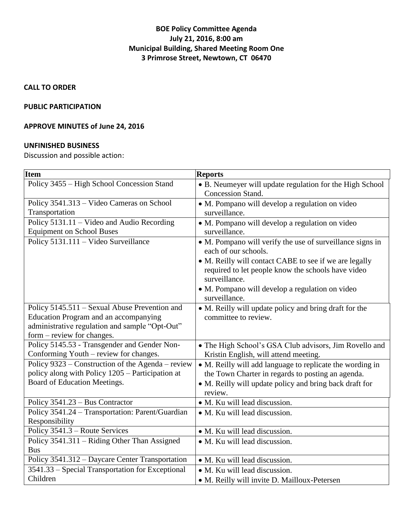## **BOE Policy Committee Agenda July 21, 2016, 8:00 am Municipal Building, Shared Meeting Room One 3 Primrose Street, Newtown, CT 06470**

**CALL TO ORDER**

## **PUBLIC PARTICIPATION**

# **APPROVE MINUTES of June 24, 2016**

#### **UNFINISHED BUSINESS**

Discussion and possible action:

| <b>Item</b>                                                                                           | <b>Reports</b>                                                                    |
|-------------------------------------------------------------------------------------------------------|-----------------------------------------------------------------------------------|
| Policy 3455 – High School Concession Stand                                                            | • B. Neumeyer will update regulation for the High School                          |
|                                                                                                       | Concession Stand.                                                                 |
| Policy 3541.313 – Video Cameras on School                                                             | • M. Pompano will develop a regulation on video                                   |
| Transportation                                                                                        | surveillance.                                                                     |
| Policy $5131.11 -$ Video and Audio Recording                                                          | • M. Pompano will develop a regulation on video                                   |
| <b>Equipment on School Buses</b>                                                                      | surveillance.                                                                     |
| Policy 5131.111 - Video Surveillance                                                                  | • M. Pompano will verify the use of surveillance signs in<br>each of our schools. |
|                                                                                                       | • M. Reilly will contact CABE to see if we are legally                            |
|                                                                                                       | required to let people know the schools have video                                |
|                                                                                                       | surveillance.                                                                     |
|                                                                                                       | · M. Pompano will develop a regulation on video                                   |
|                                                                                                       | surveillance.                                                                     |
| Policy 5145.511 – Sexual Abuse Prevention and                                                         | • M. Reilly will update policy and bring draft for the                            |
| <b>Education Program and an accompanying</b>                                                          | committee to review.                                                              |
| administrative regulation and sample "Opt-Out"                                                        |                                                                                   |
| form – review for changes.                                                                            |                                                                                   |
| Policy 5145.53 - Transgender and Gender Non-                                                          | • The High School's GSA Club advisors, Jim Rovello and                            |
| Conforming Youth – review for changes.                                                                | Kristin English, will attend meeting.                                             |
| Policy 9323 – Construction of the Agenda – review<br>policy along with Policy 1205 – Participation at | • M. Reilly will add language to replicate the wording in                         |
| Board of Education Meetings.                                                                          | the Town Charter in regards to posting an agenda.                                 |
|                                                                                                       | • M. Reilly will update policy and bring back draft for<br>review.                |
| Policy 3541.23 – Bus Contractor                                                                       | • M. Ku will lead discussion.                                                     |
| Policy 3541.24 - Transportation: Parent/Guardian                                                      |                                                                                   |
| Responsibility                                                                                        | • M. Ku will lead discussion.                                                     |
| Policy 3541.3 – Route Services                                                                        | • M. Ku will lead discussion.                                                     |
| Policy 3541.311 - Riding Other Than Assigned                                                          | • M. Ku will lead discussion.                                                     |
| <b>Bus</b>                                                                                            |                                                                                   |
| Policy 3541.312 – Daycare Center Transportation                                                       | • M. Ku will lead discussion.                                                     |
| 3541.33 – Special Transportation for Exceptional                                                      | • M. Ku will lead discussion.                                                     |
| Children                                                                                              | • M. Reilly will invite D. Mailloux-Petersen                                      |